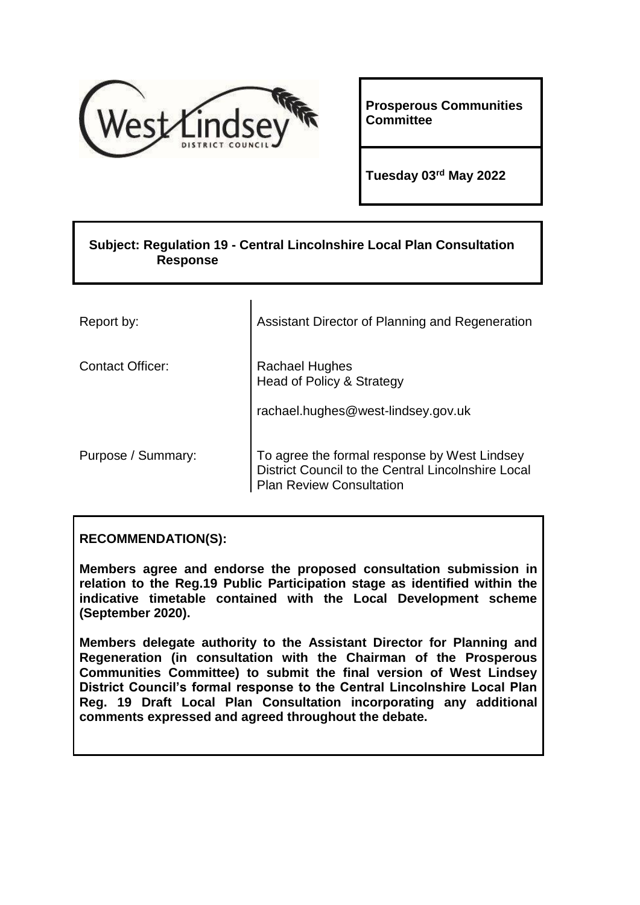

**Prosperous Communities Committee**

**Tuesday 03rd May 2022**

# **Subject: Regulation 19 - Central Lincolnshire Local Plan Consultation Response**

 $\mathbf{r}$ 

| Report by:              | Assistant Director of Planning and Regeneration                                                                                       |
|-------------------------|---------------------------------------------------------------------------------------------------------------------------------------|
| <b>Contact Officer:</b> | Rachael Hughes<br>Head of Policy & Strategy                                                                                           |
|                         | rachael.hughes@west-lindsey.gov.uk                                                                                                    |
| Purpose / Summary:      | To agree the formal response by West Lindsey<br>District Council to the Central Lincolnshire Local<br><b>Plan Review Consultation</b> |

## **RECOMMENDATION(S):**

**Members agree and endorse the proposed consultation submission in relation to the Reg.19 Public Participation stage as identified within the indicative timetable contained with the Local Development scheme (September 2020).**

**Members delegate authority to the Assistant Director for Planning and Regeneration (in consultation with the Chairman of the Prosperous Communities Committee) to submit the final version of West Lindsey District Council's formal response to the Central Lincolnshire Local Plan Reg. 19 Draft Local Plan Consultation incorporating any additional comments expressed and agreed throughout the debate.**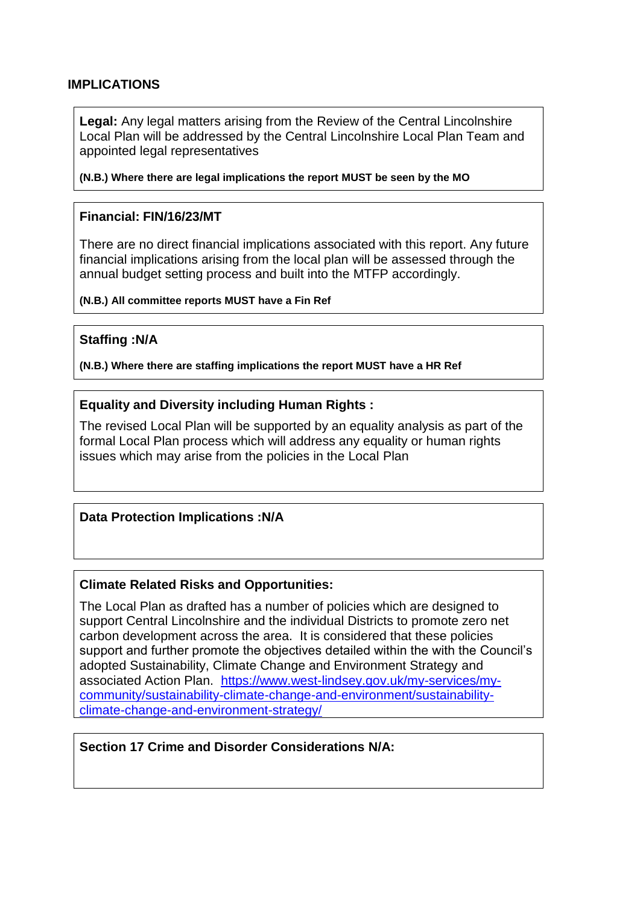### **IMPLICATIONS**

**Legal:** Any legal matters arising from the Review of the Central Lincolnshire Local Plan will be addressed by the Central Lincolnshire Local Plan Team and appointed legal representatives

**(N.B.) Where there are legal implications the report MUST be seen by the MO**

#### **Financial: FIN/16/23/MT**

There are no direct financial implications associated with this report. Any future financial implications arising from the local plan will be assessed through the annual budget setting process and built into the MTFP accordingly.

**(N.B.) All committee reports MUST have a Fin Ref**

#### **Staffing :N/A**

**(N.B.) Where there are staffing implications the report MUST have a HR Ref**

#### **Equality and Diversity including Human Rights :**

The revised Local Plan will be supported by an equality analysis as part of the formal Local Plan process which will address any equality or human rights issues which may arise from the policies in the Local Plan

#### **Data Protection Implications :N/A**

#### **Climate Related Risks and Opportunities:**

The Local Plan as drafted has a number of policies which are designed to support Central Lincolnshire and the individual Districts to promote zero net carbon development across the area. It is considered that these policies support and further promote the objectives detailed within the with the Council's adopted Sustainability, Climate Change and Environment Strategy and associated Action Plan. [https://www.west-lindsey.gov.uk/my-services/my](https://www.west-lindsey.gov.uk/my-services/my-community/sustainability-climate-change-and-environment/sustainability-climate-change-and-environment-strategy/)[community/sustainability-climate-change-and-environment/sustainability](https://www.west-lindsey.gov.uk/my-services/my-community/sustainability-climate-change-and-environment/sustainability-climate-change-and-environment-strategy/)[climate-change-and-environment-strategy/](https://www.west-lindsey.gov.uk/my-services/my-community/sustainability-climate-change-and-environment/sustainability-climate-change-and-environment-strategy/)

### **Section 17 Crime and Disorder Considerations N/A:**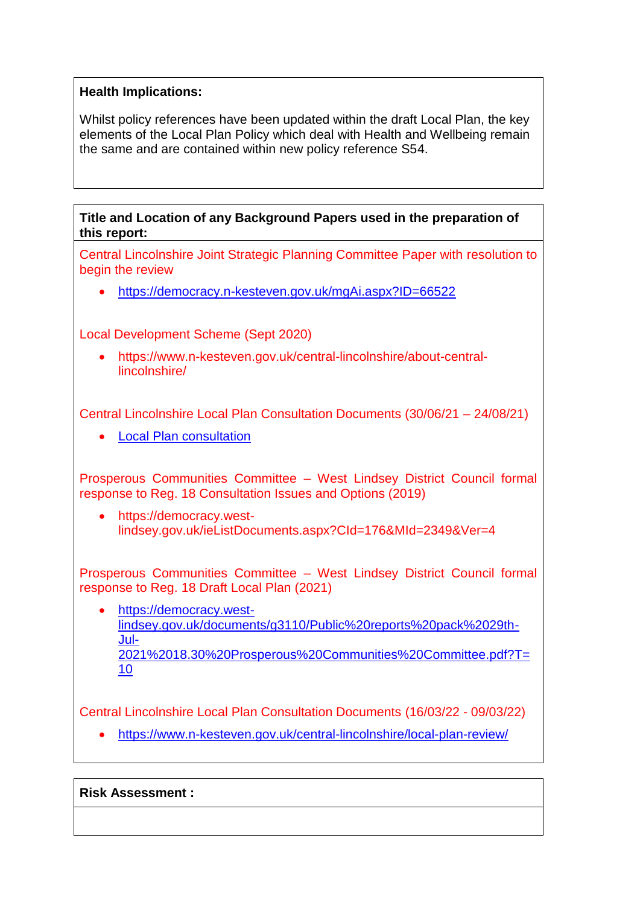## **Health Implications:**

Whilst policy references have been updated within the draft Local Plan, the key elements of the Local Plan Policy which deal with Health and Wellbeing remain the same and are contained within new policy reference S54.

**Title and Location of any Background Papers used in the preparation of this report:** 

Central Lincolnshire Joint Strategic Planning Committee Paper with resolution to begin the review

<https://democracy.n-kesteven.gov.uk/mgAi.aspx?ID=66522>

Local Development Scheme (Sept 2020)

 https://www.n-kesteven.gov.uk/central-lincolnshire/about-centrallincolnshire/

Central Lincolnshire Local Plan Consultation Documents (30/06/21 – 24/08/21)

• [Local Plan consultation](https://central-lincs.inconsult.uk/CLLP.Draft.Local.Plan/consultationHome)

Prosperous Communities Committee – West Lindsey District Council formal response to Reg. 18 Consultation Issues and Options (2019)

• https://democracy.westlindsey.gov.uk/ieListDocuments.aspx?CId=176&MId=2349&Ver=4

Prosperous Communities Committee – West Lindsey District Council formal response to Reg. 18 Draft Local Plan (2021)

 [https://democracy.west](https://democracy.west-lindsey.gov.uk/documents/g3110/Public%20reports%20pack%2029th-Jul-2021%2018.30%20Prosperous%20Communities%20Committee.pdf?T=10)[lindsey.gov.uk/documents/g3110/Public%20reports%20pack%2029th-](https://democracy.west-lindsey.gov.uk/documents/g3110/Public%20reports%20pack%2029th-Jul-2021%2018.30%20Prosperous%20Communities%20Committee.pdf?T=10)[Jul-](https://democracy.west-lindsey.gov.uk/documents/g3110/Public%20reports%20pack%2029th-Jul-2021%2018.30%20Prosperous%20Communities%20Committee.pdf?T=10)[2021%2018.30%20Prosperous%20Communities%20Committee.pdf?T=](https://democracy.west-lindsey.gov.uk/documents/g3110/Public%20reports%20pack%2029th-Jul-2021%2018.30%20Prosperous%20Communities%20Committee.pdf?T=10) [10](https://democracy.west-lindsey.gov.uk/documents/g3110/Public%20reports%20pack%2029th-Jul-2021%2018.30%20Prosperous%20Communities%20Committee.pdf?T=10)

Central Lincolnshire Local Plan Consultation Documents (16/03/22 - 09/03/22)

<https://www.n-kesteven.gov.uk/central-lincolnshire/local-plan-review/>

**Risk Assessment :**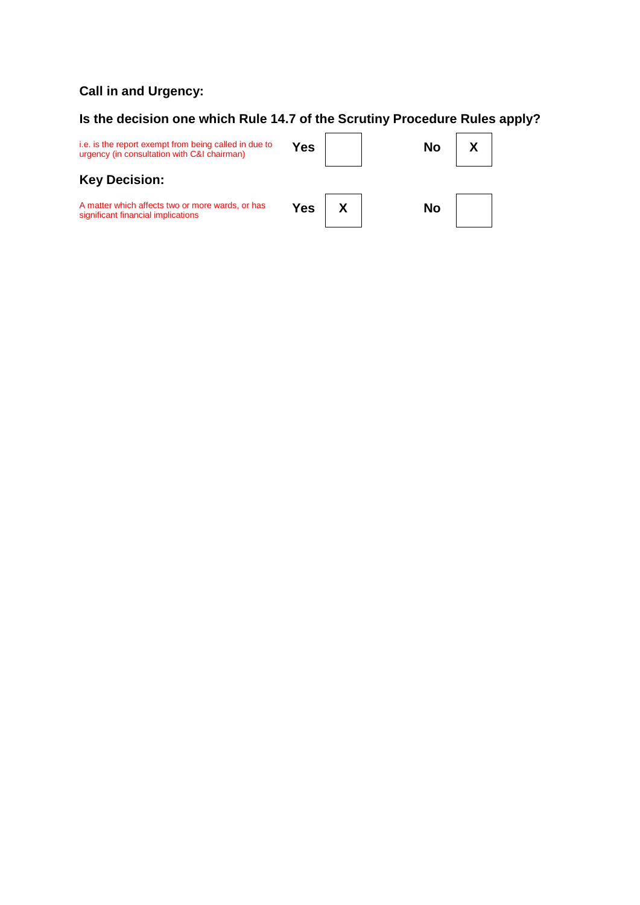## **Call in and Urgency:**

## **Is the decision one which Rule 14.7 of the Scrutiny Procedure Rules apply?**

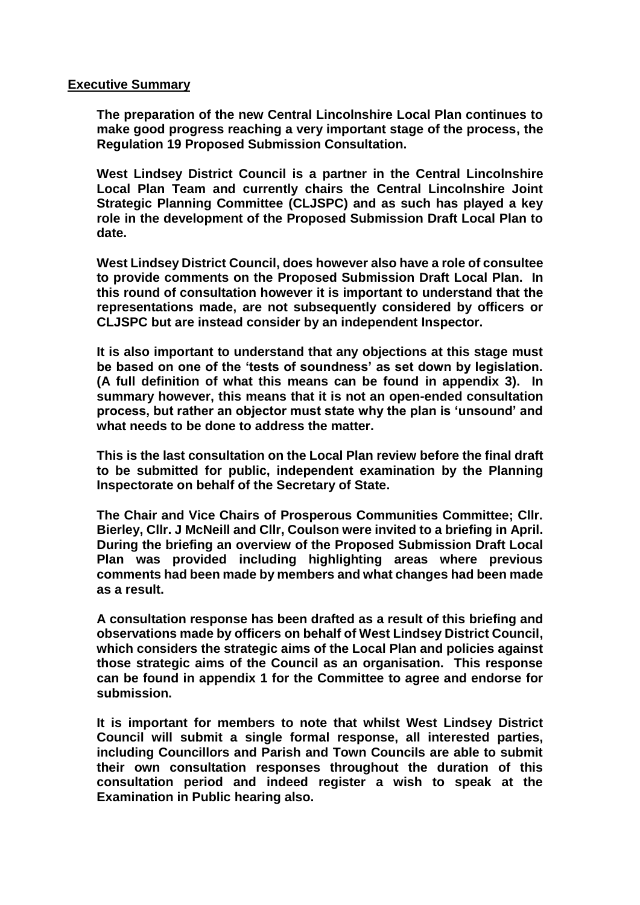#### **Executive Summary**

**The preparation of the new Central Lincolnshire Local Plan continues to make good progress reaching a very important stage of the process, the Regulation 19 Proposed Submission Consultation.** 

**West Lindsey District Council is a partner in the Central Lincolnshire Local Plan Team and currently chairs the Central Lincolnshire Joint Strategic Planning Committee (CLJSPC) and as such has played a key role in the development of the Proposed Submission Draft Local Plan to date.** 

**West Lindsey District Council, does however also have a role of consultee to provide comments on the Proposed Submission Draft Local Plan. In this round of consultation however it is important to understand that the representations made, are not subsequently considered by officers or CLJSPC but are instead consider by an independent Inspector.** 

**It is also important to understand that any objections at this stage must be based on one of the 'tests of soundness' as set down by legislation. (A full definition of what this means can be found in appendix 3). In summary however, this means that it is not an open-ended consultation process, but rather an objector must state why the plan is 'unsound' and what needs to be done to address the matter.** 

**This is the last consultation on the Local Plan review before the final draft to be submitted for public, independent examination by the Planning Inspectorate on behalf of the Secretary of State.**

**The Chair and Vice Chairs of Prosperous Communities Committee; Cllr. Bierley, Cllr. J McNeill and Cllr, Coulson were invited to a briefing in April. During the briefing an overview of the Proposed Submission Draft Local Plan was provided including highlighting areas where previous comments had been made by members and what changes had been made as a result.** 

**A consultation response has been drafted as a result of this briefing and observations made by officers on behalf of West Lindsey District Council, which considers the strategic aims of the Local Plan and policies against those strategic aims of the Council as an organisation. This response can be found in appendix 1 for the Committee to agree and endorse for submission.**

**It is important for members to note that whilst West Lindsey District Council will submit a single formal response, all interested parties, including Councillors and Parish and Town Councils are able to submit their own consultation responses throughout the duration of this consultation period and indeed register a wish to speak at the Examination in Public hearing also.**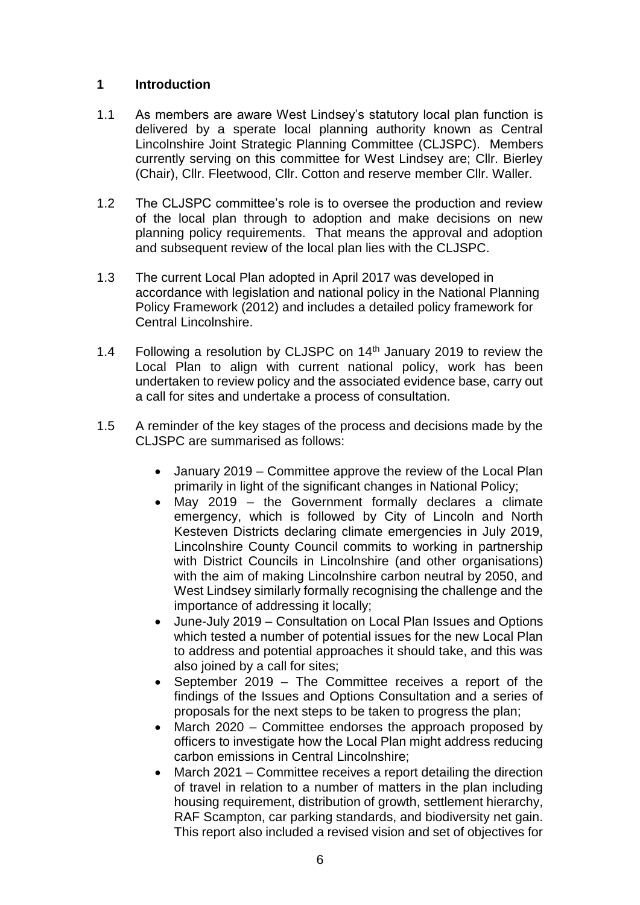## **1 Introduction**

- 1.1 As members are aware West Lindsey's statutory local plan function is delivered by a sperate local planning authority known as Central Lincolnshire Joint Strategic Planning Committee (CLJSPC). Members currently serving on this committee for West Lindsey are; Cllr. Bierley (Chair), Cllr. Fleetwood, Cllr. Cotton and reserve member Cllr. Waller.
- 1.2 The CLJSPC committee's role is to oversee the production and review of the local plan through to adoption and make decisions on new planning policy requirements. That means the approval and adoption and subsequent review of the local plan lies with the CLJSPC.
- 1.3 The current Local Plan adopted in April 2017 was developed in accordance with legislation and national policy in the National Planning Policy Framework (2012) and includes a detailed policy framework for Central Lincolnshire.
- 1.4 Following a resolution by CLJSPC on 14<sup>th</sup> January 2019 to review the Local Plan to align with current national policy, work has been undertaken to review policy and the associated evidence base, carry out a call for sites and undertake a process of consultation.
- 1.5 A reminder of the key stages of the process and decisions made by the CLJSPC are summarised as follows:
	- January 2019 Committee approve the review of the Local Plan primarily in light of the significant changes in National Policy;
	- May 2019 the Government formally declares a climate emergency, which is followed by City of Lincoln and North Kesteven Districts declaring climate emergencies in July 2019, Lincolnshire County Council commits to working in partnership with District Councils in Lincolnshire (and other organisations) with the aim of making Lincolnshire carbon neutral by 2050, and West Lindsey similarly formally recognising the challenge and the importance of addressing it locally;
	- June-July 2019 Consultation on Local Plan Issues and Options which tested a number of potential issues for the new Local Plan to address and potential approaches it should take, and this was also joined by a call for sites;
	- September 2019 The Committee receives a report of the findings of the Issues and Options Consultation and a series of proposals for the next steps to be taken to progress the plan;
	- March 2020 Committee endorses the approach proposed by officers to investigate how the Local Plan might address reducing carbon emissions in Central Lincolnshire;
	- March 2021 Committee receives a report detailing the direction of travel in relation to a number of matters in the plan including housing requirement, distribution of growth, settlement hierarchy, RAF Scampton, car parking standards, and biodiversity net gain. This report also included a revised vision and set of objectives for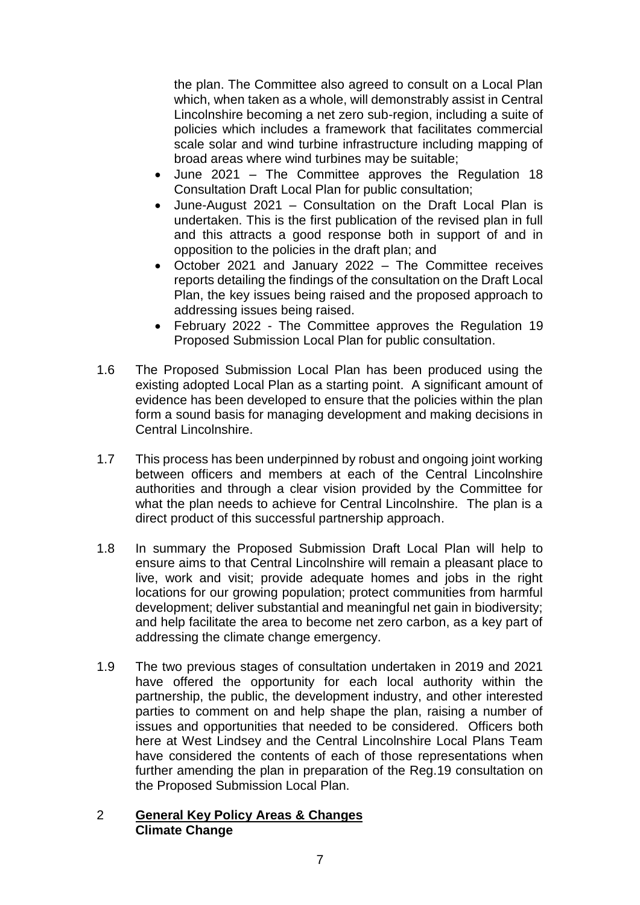the plan. The Committee also agreed to consult on a Local Plan which, when taken as a whole, will demonstrably assist in Central Lincolnshire becoming a net zero sub-region, including a suite of policies which includes a framework that facilitates commercial scale solar and wind turbine infrastructure including mapping of broad areas where wind turbines may be suitable;

- June 2021 The Committee approves the Regulation 18 Consultation Draft Local Plan for public consultation;
- June-August 2021 Consultation on the Draft Local Plan is undertaken. This is the first publication of the revised plan in full and this attracts a good response both in support of and in opposition to the policies in the draft plan; and
- October 2021 and January 2022 The Committee receives reports detailing the findings of the consultation on the Draft Local Plan, the key issues being raised and the proposed approach to addressing issues being raised.
- February 2022 The Committee approves the Regulation 19 Proposed Submission Local Plan for public consultation.
- 1.6 The Proposed Submission Local Plan has been produced using the existing adopted Local Plan as a starting point. A significant amount of evidence has been developed to ensure that the policies within the plan form a sound basis for managing development and making decisions in Central Lincolnshire.
- 1.7 This process has been underpinned by robust and ongoing joint working between officers and members at each of the Central Lincolnshire authorities and through a clear vision provided by the Committee for what the plan needs to achieve for Central Lincolnshire. The plan is a direct product of this successful partnership approach.
- 1.8 In summary the Proposed Submission Draft Local Plan will help to ensure aims to that Central Lincolnshire will remain a pleasant place to live, work and visit; provide adequate homes and jobs in the right locations for our growing population; protect communities from harmful development; deliver substantial and meaningful net gain in biodiversity; and help facilitate the area to become net zero carbon, as a key part of addressing the climate change emergency.
- 1.9 The two previous stages of consultation undertaken in 2019 and 2021 have offered the opportunity for each local authority within the partnership, the public, the development industry, and other interested parties to comment on and help shape the plan, raising a number of issues and opportunities that needed to be considered. Officers both here at West Lindsey and the Central Lincolnshire Local Plans Team have considered the contents of each of those representations when further amending the plan in preparation of the Reg.19 consultation on the Proposed Submission Local Plan.

### 2 **General Key Policy Areas & Changes Climate Change**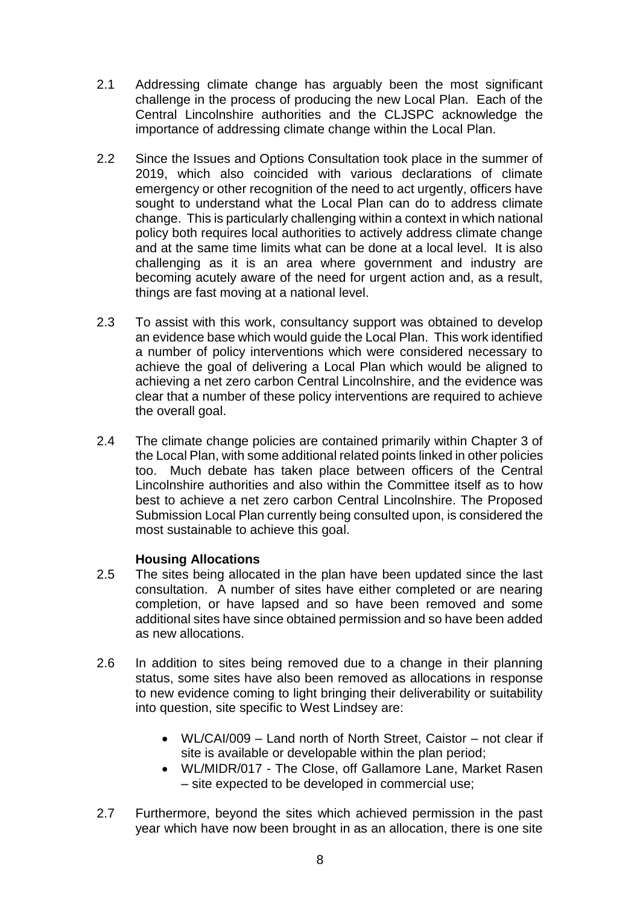- 2.1 Addressing climate change has arguably been the most significant challenge in the process of producing the new Local Plan. Each of the Central Lincolnshire authorities and the CLJSPC acknowledge the importance of addressing climate change within the Local Plan.
- 2.2 Since the Issues and Options Consultation took place in the summer of 2019, which also coincided with various declarations of climate emergency or other recognition of the need to act urgently, officers have sought to understand what the Local Plan can do to address climate change. This is particularly challenging within a context in which national policy both requires local authorities to actively address climate change and at the same time limits what can be done at a local level. It is also challenging as it is an area where government and industry are becoming acutely aware of the need for urgent action and, as a result, things are fast moving at a national level.
- 2.3 To assist with this work, consultancy support was obtained to develop an evidence base which would guide the Local Plan. This work identified a number of policy interventions which were considered necessary to achieve the goal of delivering a Local Plan which would be aligned to achieving a net zero carbon Central Lincolnshire, and the evidence was clear that a number of these policy interventions are required to achieve the overall goal.
- 2.4 The climate change policies are contained primarily within Chapter 3 of the Local Plan, with some additional related points linked in other policies too. Much debate has taken place between officers of the Central Lincolnshire authorities and also within the Committee itself as to how best to achieve a net zero carbon Central Lincolnshire. The Proposed Submission Local Plan currently being consulted upon, is considered the most sustainable to achieve this goal.

## **Housing Allocations**

- 2.5 The sites being allocated in the plan have been updated since the last consultation. A number of sites have either completed or are nearing completion, or have lapsed and so have been removed and some additional sites have since obtained permission and so have been added as new allocations.
- 2.6 In addition to sites being removed due to a change in their planning status, some sites have also been removed as allocations in response to new evidence coming to light bringing their deliverability or suitability into question, site specific to West Lindsey are:
	- WL/CAI/009 Land north of North Street, Caistor not clear if site is available or developable within the plan period;
	- WL/MIDR/017 The Close, off Gallamore Lane, Market Rasen – site expected to be developed in commercial use;
- 2.7 Furthermore, beyond the sites which achieved permission in the past year which have now been brought in as an allocation, there is one site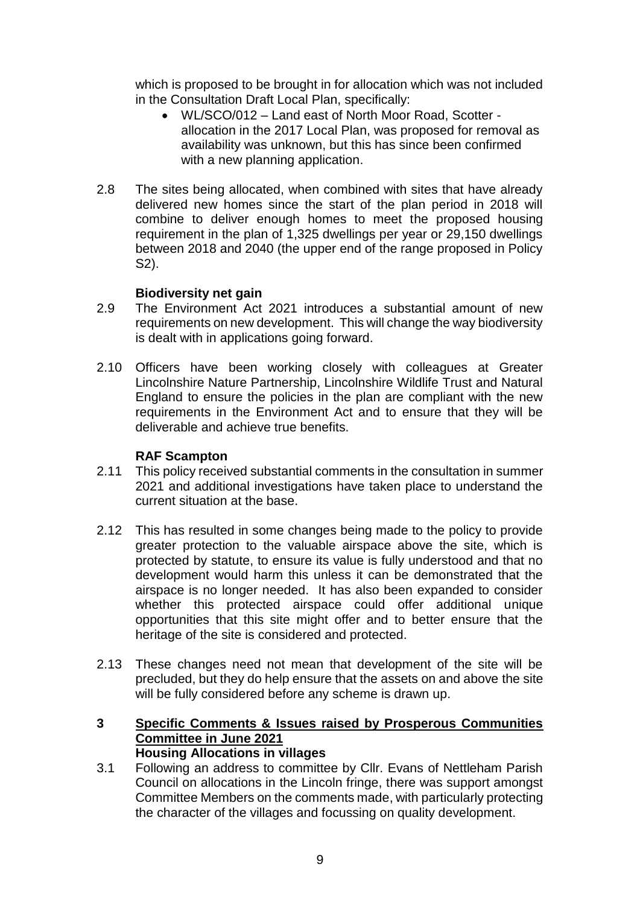which is proposed to be brought in for allocation which was not included in the Consultation Draft Local Plan, specifically:

- WL/SCO/012 Land east of North Moor Road, Scotter allocation in the 2017 Local Plan, was proposed for removal as availability was unknown, but this has since been confirmed with a new planning application.
- 2.8 The sites being allocated, when combined with sites that have already delivered new homes since the start of the plan period in 2018 will combine to deliver enough homes to meet the proposed housing requirement in the plan of 1,325 dwellings per year or 29,150 dwellings between 2018 and 2040 (the upper end of the range proposed in Policy S2).

## **Biodiversity net gain**

- 2.9 The Environment Act 2021 introduces a substantial amount of new requirements on new development. This will change the way biodiversity is dealt with in applications going forward.
- 2.10 Officers have been working closely with colleagues at Greater Lincolnshire Nature Partnership, Lincolnshire Wildlife Trust and Natural England to ensure the policies in the plan are compliant with the new requirements in the Environment Act and to ensure that they will be deliverable and achieve true benefits.

### **RAF Scampton**

- 2.11 This policy received substantial comments in the consultation in summer 2021 and additional investigations have taken place to understand the current situation at the base.
- 2.12 This has resulted in some changes being made to the policy to provide greater protection to the valuable airspace above the site, which is protected by statute, to ensure its value is fully understood and that no development would harm this unless it can be demonstrated that the airspace is no longer needed. It has also been expanded to consider whether this protected airspace could offer additional unique opportunities that this site might offer and to better ensure that the heritage of the site is considered and protected.
- 2.13 These changes need not mean that development of the site will be precluded, but they do help ensure that the assets on and above the site will be fully considered before any scheme is drawn up.
- **3 Specific Comments & Issues raised by Prosperous Communities Committee in June 2021 Housing Allocations in villages**
- 3.1 Following an address to committee by Cllr. Evans of Nettleham Parish Council on allocations in the Lincoln fringe, there was support amongst Committee Members on the comments made, with particularly protecting the character of the villages and focussing on quality development.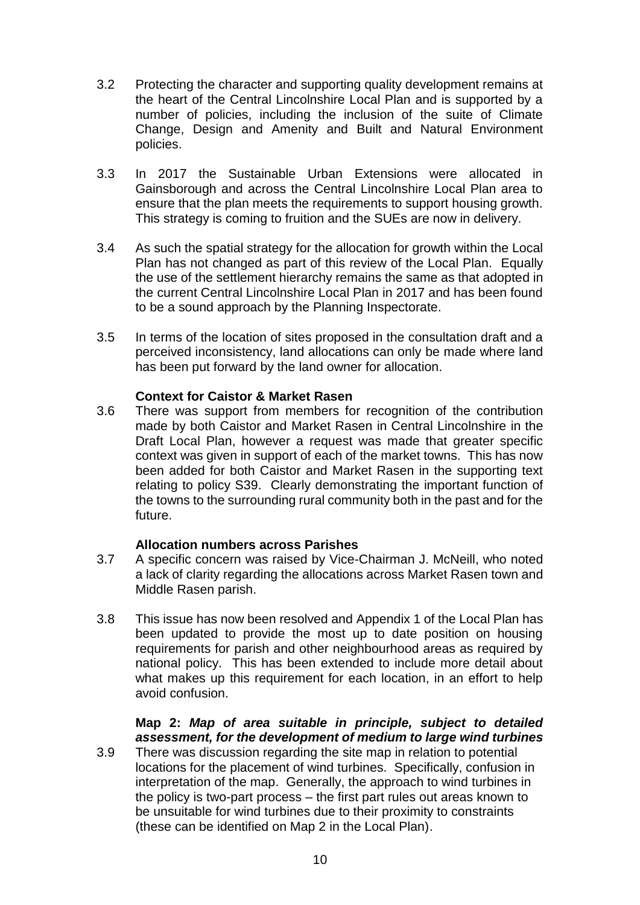- 3.2 Protecting the character and supporting quality development remains at the heart of the Central Lincolnshire Local Plan and is supported by a number of policies, including the inclusion of the suite of Climate Change, Design and Amenity and Built and Natural Environment policies.
- 3.3 In 2017 the Sustainable Urban Extensions were allocated in Gainsborough and across the Central Lincolnshire Local Plan area to ensure that the plan meets the requirements to support housing growth. This strategy is coming to fruition and the SUEs are now in delivery.
- 3.4 As such the spatial strategy for the allocation for growth within the Local Plan has not changed as part of this review of the Local Plan. Equally the use of the settlement hierarchy remains the same as that adopted in the current Central Lincolnshire Local Plan in 2017 and has been found to be a sound approach by the Planning Inspectorate.
- 3.5 In terms of the location of sites proposed in the consultation draft and a perceived inconsistency, land allocations can only be made where land has been put forward by the land owner for allocation.

## **Context for Caistor & Market Rasen**

3.6 There was support from members for recognition of the contribution made by both Caistor and Market Rasen in Central Lincolnshire in the Draft Local Plan, however a request was made that greater specific context was given in support of each of the market towns. This has now been added for both Caistor and Market Rasen in the supporting text relating to policy S39. Clearly demonstrating the important function of the towns to the surrounding rural community both in the past and for the future.

### **Allocation numbers across Parishes**

- 3.7 A specific concern was raised by Vice-Chairman J. McNeill, who noted a lack of clarity regarding the allocations across Market Rasen town and Middle Rasen parish.
- 3.8 This issue has now been resolved and Appendix 1 of the Local Plan has been updated to provide the most up to date position on housing requirements for parish and other neighbourhood areas as required by national policy. This has been extended to include more detail about what makes up this requirement for each location, in an effort to help avoid confusion.

## **Map 2:** *Map of area suitable in principle, subject to detailed assessment, for the development of medium to large wind turbines*

3.9 There was discussion regarding the site map in relation to potential locations for the placement of wind turbines. Specifically, confusion in interpretation of the map. Generally, the approach to wind turbines in the policy is two-part process – the first part rules out areas known to be unsuitable for wind turbines due to their proximity to constraints (these can be identified on Map 2 in the Local Plan).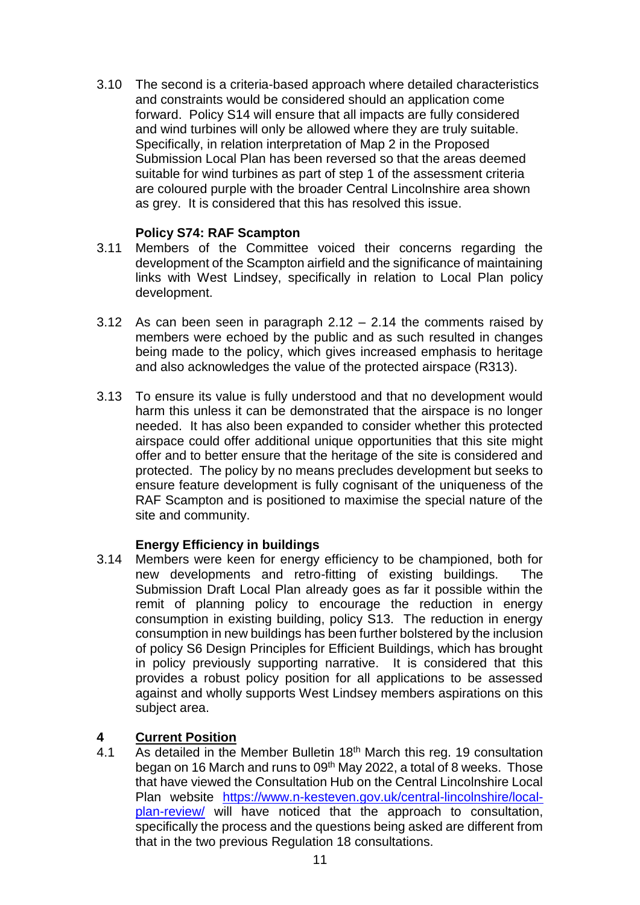3.10 The second is a criteria-based approach where detailed characteristics and constraints would be considered should an application come forward. Policy S14 will ensure that all impacts are fully considered and wind turbines will only be allowed where they are truly suitable. Specifically, in relation interpretation of Map 2 in the Proposed Submission Local Plan has been reversed so that the areas deemed suitable for wind turbines as part of step 1 of the assessment criteria are coloured purple with the broader Central Lincolnshire area shown as grey. It is considered that this has resolved this issue.

## **Policy S74: RAF Scampton**

- 3.11 Members of the Committee voiced their concerns regarding the development of the Scampton airfield and the significance of maintaining links with West Lindsey, specifically in relation to Local Plan policy development.
- 3.12 As can been seen in paragraph 2.12 2.14 the comments raised by members were echoed by the public and as such resulted in changes being made to the policy, which gives increased emphasis to heritage and also acknowledges the value of the protected airspace (R313).
- 3.13 To ensure its value is fully understood and that no development would harm this unless it can be demonstrated that the airspace is no longer needed. It has also been expanded to consider whether this protected airspace could offer additional unique opportunities that this site might offer and to better ensure that the heritage of the site is considered and protected. The policy by no means precludes development but seeks to ensure feature development is fully cognisant of the uniqueness of the RAF Scampton and is positioned to maximise the special nature of the site and community.

## **Energy Efficiency in buildings**

3.14 Members were keen for energy efficiency to be championed, both for new developments and retro-fitting of existing buildings. The Submission Draft Local Plan already goes as far it possible within the remit of planning policy to encourage the reduction in energy consumption in existing building, policy S13. The reduction in energy consumption in new buildings has been further bolstered by the inclusion of policy S6 Design Principles for Efficient Buildings, which has brought in policy previously supporting narrative. It is considered that this provides a robust policy position for all applications to be assessed against and wholly supports West Lindsey members aspirations on this subject area.

## **4 Current Position**

4.1 As detailed in the Member Bulletin 18<sup>th</sup> March this reg. 19 consultation began on 16 March and runs to 09<sup>th</sup> May 2022, a total of 8 weeks. Those that have viewed the Consultation Hub on the Central Lincolnshire Local Plan website [https://www.n-kesteven.gov.uk/central-lincolnshire/local](https://www.n-kesteven.gov.uk/central-lincolnshire/local-plan-review/)[plan-review/](https://www.n-kesteven.gov.uk/central-lincolnshire/local-plan-review/) will have noticed that the approach to consultation, specifically the process and the questions being asked are different from that in the two previous Regulation 18 consultations.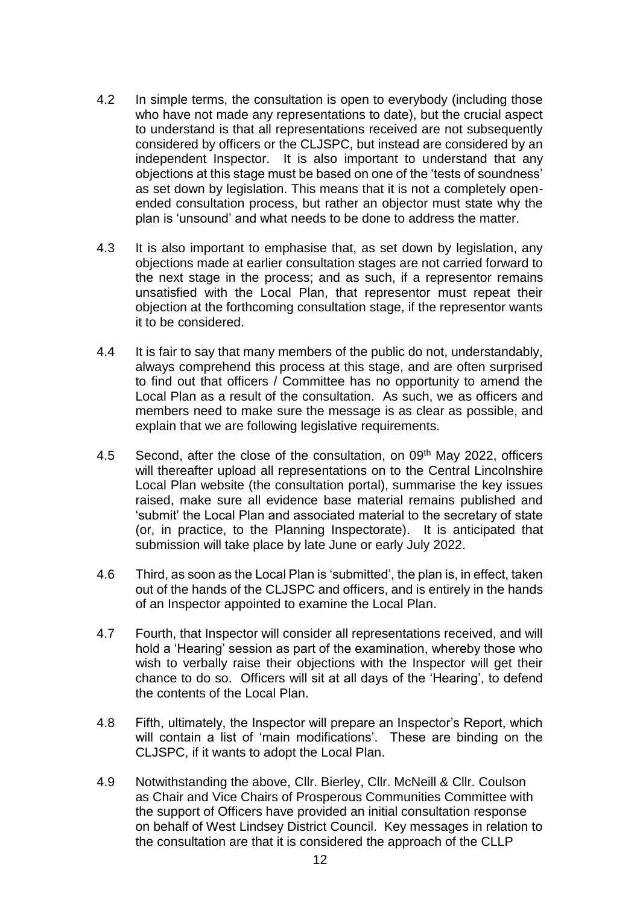- 4.2 In simple terms, the consultation is open to everybody (including those who have not made any representations to date), but the crucial aspect to understand is that all representations received are not subsequently considered by officers or the CLJSPC, but instead are considered by an independent Inspector. It is also important to understand that any objections at this stage must be based on one of the 'tests of soundness' as set down by legislation. This means that it is not a completely openended consultation process, but rather an objector must state why the plan is 'unsound' and what needs to be done to address the matter.
- 4.3 It is also important to emphasise that, as set down by legislation, any objections made at earlier consultation stages are not carried forward to the next stage in the process; and as such, if a representor remains unsatisfied with the Local Plan, that representor must repeat their objection at the forthcoming consultation stage, if the representor wants it to be considered.
- 4.4 It is fair to say that many members of the public do not, understandably, always comprehend this process at this stage, and are often surprised to find out that officers / Committee has no opportunity to amend the Local Plan as a result of the consultation. As such, we as officers and members need to make sure the message is as clear as possible, and explain that we are following legislative requirements.
- 4.5 Second, after the close of the consultation, on 09<sup>th</sup> May 2022, officers will thereafter upload all representations on to the Central Lincolnshire Local Plan website (the consultation portal), summarise the key issues raised, make sure all evidence base material remains published and 'submit' the Local Plan and associated material to the secretary of state (or, in practice, to the Planning Inspectorate). It is anticipated that submission will take place by late June or early July 2022.
- 4.6 Third, as soon as the Local Plan is 'submitted', the plan is, in effect, taken out of the hands of the CLJSPC and officers, and is entirely in the hands of an Inspector appointed to examine the Local Plan.
- 4.7 Fourth, that Inspector will consider all representations received, and will hold a 'Hearing' session as part of the examination, whereby those who wish to verbally raise their objections with the Inspector will get their chance to do so. Officers will sit at all days of the 'Hearing', to defend the contents of the Local Plan.
- 4.8 Fifth, ultimately, the Inspector will prepare an Inspector's Report, which will contain a list of 'main modifications'. These are binding on the CLJSPC, if it wants to adopt the Local Plan.
- 4.9 Notwithstanding the above, Cllr. Bierley, Cllr. McNeill & Cllr. Coulson as Chair and Vice Chairs of Prosperous Communities Committee with the support of Officers have provided an initial consultation response on behalf of West Lindsey District Council. Key messages in relation to the consultation are that it is considered the approach of the CLLP